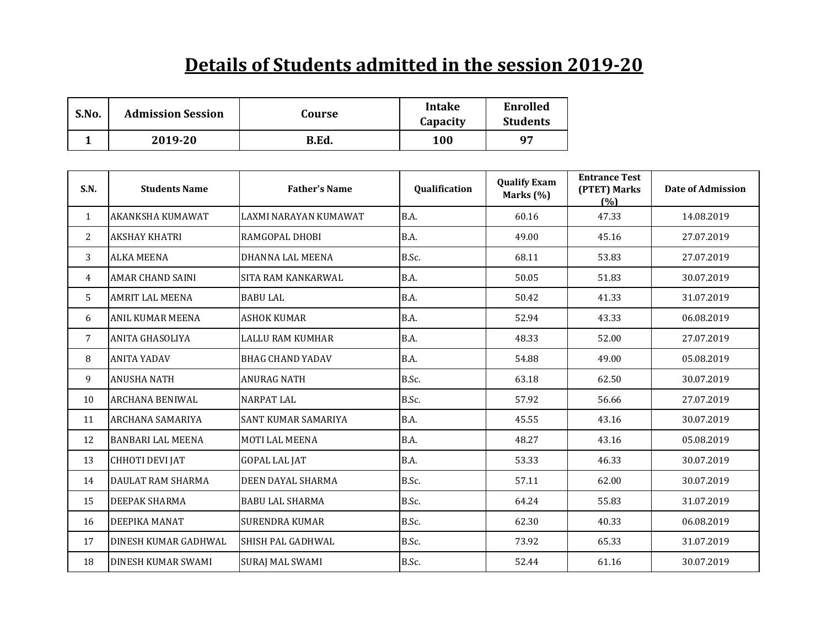## **Details of Students admitted in the session 2019-20**

| S.No. | <b>Admission Session</b> | Course | <b>Intake</b><br>Capacity | <b>Enrolled</b><br><b>Students</b> |
|-------|--------------------------|--------|---------------------------|------------------------------------|
|       | 2019-20                  | B.Ed.  | 100                       | 97                                 |

| S.N.         | <b>Students Name</b>      | <b>Father's Name</b>       | Qualification | <b>Qualify Exam</b><br>Marks $(\%)$ | <b>Entrance Test</b><br>(PTET) Marks<br>(%) | <b>Date of Admission</b> |
|--------------|---------------------------|----------------------------|---------------|-------------------------------------|---------------------------------------------|--------------------------|
| $\mathbf{1}$ | <b>AKANKSHA KUMAWAT</b>   | LAXMI NARAYAN KUMAWAT      | B.A.          | 60.16                               | 47.33                                       | 14.08.2019               |
| 2            | <b>AKSHAY KHATRI</b>      | RAMGOPAL DHOBI             | B.A.          | 49.00                               | 45.16                                       | 27.07.2019               |
| 3            | <b>ALKA MEENA</b>         | DHANNA LAL MEENA           | B.Sc.         | 68.11                               | 53.83                                       | 27.07.2019               |
| 4            | <b>AMAR CHAND SAINI</b>   | <b>SITA RAM KANKARWAL</b>  | B.A.          | 50.05                               | 51.83                                       | 30.07.2019               |
| 5            | <b>AMRIT LAL MEENA</b>    | <b>BABU LAL</b>            | B.A.          | 50.42                               | 41.33                                       | 31.07.2019               |
| 6            | <b>ANIL KUMAR MEENA</b>   | <b>ASHOK KUMAR</b>         | B.A.          | 52.94                               | 43.33                                       | 06.08.2019               |
| 7            | <b>ANITA GHASOLIYA</b>    | LALLU RAM KUMHAR           | B.A.          | 48.33                               | 52.00                                       | 27.07.2019               |
| 8            | <b>ANITA YADAV</b>        | <b>BHAG CHAND YADAV</b>    | B.A.          | 54.88                               | 49.00                                       | 05.08.2019               |
| 9            | <b>ANUSHA NATH</b>        | <b>ANURAG NATH</b>         | B.Sc.         | 63.18                               | 62.50                                       | 30.07.2019               |
| 10           | <b>ARCHANA BENIWAL</b>    | <b>NARPAT LAL</b>          | B.Sc.         | 57.92                               | 56.66                                       | 27.07.2019               |
| 11           | <b>ARCHANA SAMARIYA</b>   | <b>SANT KUMAR SAMARIYA</b> | B.A.          | 45.55                               | 43.16                                       | 30.07.2019               |
| 12           | <b>BANBARI LAL MEENA</b>  | <b>MOTI LAL MEENA</b>      | B.A.          | 48.27                               | 43.16                                       | 05.08.2019               |
| 13           | <b>CHHOTI DEVI JAT</b>    | <b>GOPAL LAL JAT</b>       | B.A.          | 53.33                               | 46.33                                       | 30.07.2019               |
| 14           | <b>DAULAT RAM SHARMA</b>  | DEEN DAYAL SHARMA          | B.Sc.         | 57.11                               | 62.00                                       | 30.07.2019               |
| 15           | <b>DEEPAK SHARMA</b>      | <b>BABU LAL SHARMA</b>     | B.Sc.         | 64.24                               | 55.83                                       | 31.07.2019               |
| 16           | DEEPIKA MANAT             | <b>SURENDRA KUMAR</b>      | B.Sc.         | 62.30                               | 40.33                                       | 06.08.2019               |
| 17           | DINESH KUMAR GADHWAL      | SHISH PAL GADHWAL          | B.Sc.         | 73.92                               | 65.33                                       | 31.07.2019               |
| 18           | <b>DINESH KUMAR SWAMI</b> | <b>SURAJ MAL SWAMI</b>     | B.Sc.         | 52.44                               | 61.16                                       | 30.07.2019               |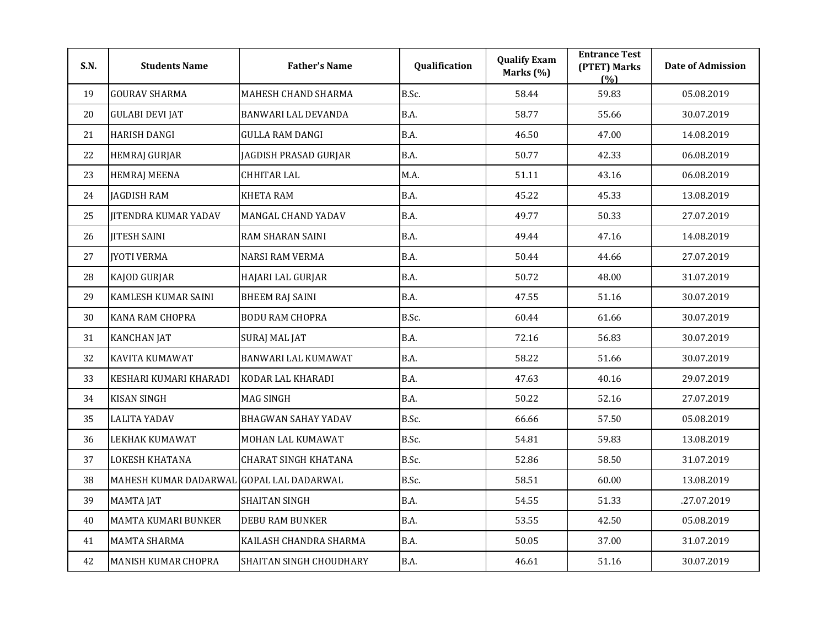| S.N. | <b>Students Name</b>                     | <b>Father's Name</b>        | Qualification | <b>Qualify Exam</b><br>Marks (%) | <b>Entrance Test</b><br>(PTET) Marks<br>(%) | <b>Date of Admission</b> |
|------|------------------------------------------|-----------------------------|---------------|----------------------------------|---------------------------------------------|--------------------------|
| 19   | <b>GOURAV SHARMA</b>                     | MAHESH CHAND SHARMA         | B.Sc.         | 58.44                            | 59.83                                       | 05.08.2019               |
| 20   | <b>GULABI DEVI JAT</b>                   | BANWARI LAL DEVANDA         | B.A.          | 58.77                            | 55.66                                       | 30.07.2019               |
| 21   | <b>HARISH DANGI</b>                      | <b>GULLA RAM DANGI</b>      | <b>B.A.</b>   | 46.50                            | 47.00                                       | 14.08.2019               |
| 22   | <b>HEMRAJ GURJAR</b>                     | JAGDISH PRASAD GURJAR       | <b>B.A.</b>   | 50.77                            | 42.33                                       | 06.08.2019               |
| 23   | <b>HEMRAJ MEENA</b>                      | <b>CHHITAR LAL</b>          | M.A.          | 51.11                            | 43.16                                       | 06.08.2019               |
| 24   | <b>JAGDISH RAM</b>                       | <b>KHETA RAM</b>            | <b>B.A.</b>   | 45.22                            | 45.33                                       | 13.08.2019               |
| 25   | <b>JITENDRA KUMAR YADAV</b>              | MANGAL CHAND YADAV          | <b>B.A.</b>   | 49.77                            | 50.33                                       | 27.07.2019               |
| 26   | <b>JITESH SAINI</b>                      | RAM SHARAN SAINI            | B.A.          | 49.44                            | 47.16                                       | 14.08.2019               |
| 27   | <b>JYOTI VERMA</b>                       | <b>NARSI RAM VERMA</b>      | B.A.          | 50.44                            | 44.66                                       | 27.07.2019               |
| 28   | <b>KAJOD GURJAR</b>                      | HAJARI LAL GURJAR           | B.A.          | 50.72                            | 48.00                                       | 31.07.2019               |
| 29   | KAMLESH KUMAR SAINI                      | <b>BHEEM RAJ SAINI</b>      | B.A.          | 47.55                            | 51.16                                       | 30.07.2019               |
| 30   | <b>KANA RAM CHOPRA</b>                   | <b>BODU RAM CHOPRA</b>      | B.Sc.         | 60.44                            | 61.66                                       | 30.07.2019               |
| 31   | <b>KANCHAN JAT</b>                       | <b>SURAJ MAL JAT</b>        | B.A.          | 72.16                            | 56.83                                       | 30.07.2019               |
| 32   | <b>KAVITA KUMAWAT</b>                    | BANWARI LAL KUMAWAT         | B.A.          | 58.22                            | 51.66                                       | 30.07.2019               |
| 33   | KESHARI KUMARI KHARADI                   | KODAR LAL KHARADI           | B.A.          | 47.63                            | 40.16                                       | 29.07.2019               |
| 34   | <b>KISAN SINGH</b>                       | <b>MAG SINGH</b>            | B.A.          | 50.22                            | 52.16                                       | 27.07.2019               |
| 35   | <b>LALITA YADAV</b>                      | <b>BHAGWAN SAHAY YADAV</b>  | B.Sc.         | 66.66                            | 57.50                                       | 05.08.2019               |
| 36   | LEKHAK KUMAWAT                           | MOHAN LAL KUMAWAT           | B.Sc.         | 54.81                            | 59.83                                       | 13.08.2019               |
| 37   | LOKESH KHATANA                           | <b>CHARAT SINGH KHATANA</b> | B.Sc.         | 52.86                            | 58.50                                       | 31.07.2019               |
| 38   | MAHESH KUMAR DADARWAL GOPAL LAL DADARWAL |                             | B.Sc.         | 58.51                            | 60.00                                       | 13.08.2019               |
| 39   | <b>MAMTA JAT</b>                         | <b>SHAITAN SINGH</b>        | B.A.          | 54.55                            | 51.33                                       | .27.07.2019              |
| 40   | MAMTA KUMARI BUNKER                      | <b>DEBU RAM BUNKER</b>      | B.A.          | 53.55                            | 42.50                                       | 05.08.2019               |
| 41   | <b>MAMTA SHARMA</b>                      | KAILASH CHANDRA SHARMA      | B.A.          | 50.05                            | 37.00                                       | 31.07.2019               |
| 42   | MANISH KUMAR CHOPRA                      | SHAITAN SINGH CHOUDHARY     | B.A.          | 46.61                            | 51.16                                       | 30.07.2019               |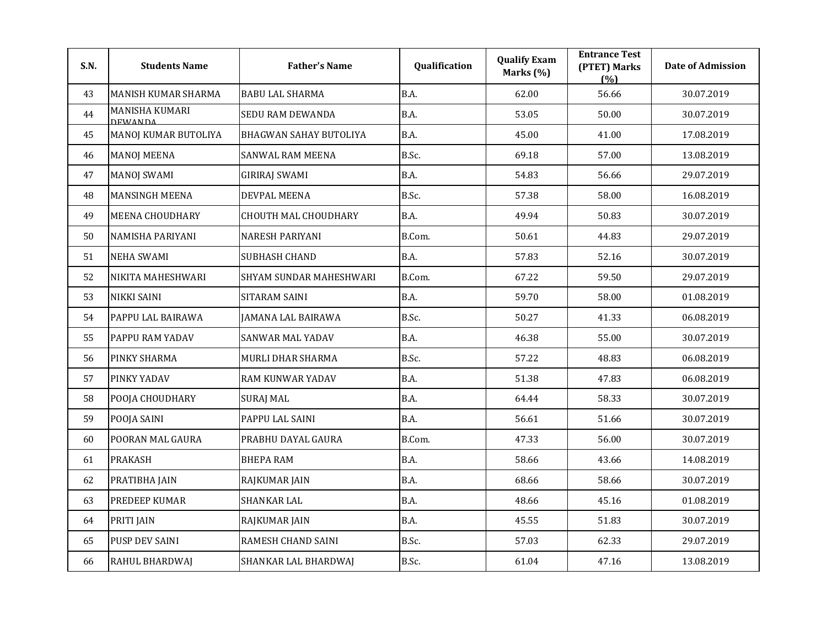| S.N. | <b>Students Name</b>             | <b>Father's Name</b>        | Qualification | <b>Qualify Exam</b><br>Marks (%) | <b>Entrance Test</b><br>(PTET) Marks<br>(%) | <b>Date of Admission</b> |
|------|----------------------------------|-----------------------------|---------------|----------------------------------|---------------------------------------------|--------------------------|
| 43   | MANISH KUMAR SHARMA              | <b>BABU LAL SHARMA</b>      | B.A.          | 62.00                            | 56.66                                       | 30.07.2019               |
| 44   | <b>MANISHA KUMARI</b><br>DEWANDA | SEDU RAM DEWANDA            | B.A.          | 53.05                            | 50.00                                       | 30.07.2019               |
| 45   | MANOJ KUMAR BUTOLIYA             | BHAGWAN SAHAY BUTOLIYA      | B.A.          | 45.00                            | 41.00                                       | 17.08.2019               |
| 46   | <b>MANOJ MEENA</b>               | SANWAL RAM MEENA            | B.Sc.         | 69.18                            | 57.00                                       | 13.08.2019               |
| 47   | <b>MANOJ SWAMI</b>               | <b>GIRIRAJ SWAMI</b>        | B.A.          | 54.83                            | 56.66                                       | 29.07.2019               |
| 48   | <b>MANSINGH MEENA</b>            | DEVPAL MEENA                | B.Sc.         | 57.38                            | 58.00                                       | 16.08.2019               |
| 49   | <b>MEENA CHOUDHARY</b>           | <b>CHOUTH MAL CHOUDHARY</b> | B.A.          | 49.94                            | 50.83                                       | 30.07.2019               |
| 50   | NAMISHA PARIYANI                 | <b>NARESH PARIYANI</b>      | B.Com.        | 50.61                            | 44.83                                       | 29.07.2019               |
| 51   | <b>NEHA SWAMI</b>                | <b>SUBHASH CHAND</b>        | B.A.          | 57.83                            | 52.16                                       | 30.07.2019               |
| 52   | NIKITA MAHESHWARI                | SHYAM SUNDAR MAHESHWARI     | B.Com.        | 67.22                            | 59.50                                       | 29.07.2019               |
| 53   | <b>NIKKI SAINI</b>               | SITARAM SAINI               | B.A.          | 59.70                            | 58.00                                       | 01.08.2019               |
| 54   | PAPPU LAL BAIRAWA                | <b>JAMANA LAL BAIRAWA</b>   | B.Sc.         | 50.27                            | 41.33                                       | 06.08.2019               |
| 55   | PAPPU RAM YADAV                  | SANWAR MAL YADAV            | B.A.          | 46.38                            | 55.00                                       | 30.07.2019               |
| 56   | PINKY SHARMA                     | MURLI DHAR SHARMA           | B.Sc.         | 57.22                            | 48.83                                       | 06.08.2019               |
| 57   | PINKY YADAV                      | RAM KUNWAR YADAV            | B.A.          | 51.38                            | 47.83                                       | 06.08.2019               |
| 58   | POOJA CHOUDHARY                  | SURAJ MAL                   | B.A.          | 64.44                            | 58.33                                       | 30.07.2019               |
| 59   | POOJA SAINI                      | PAPPU LAL SAINI             | B.A.          | 56.61                            | 51.66                                       | 30.07.2019               |
| 60   | POORAN MAL GAURA                 | PRABHU DAYAL GAURA          | B.Com.        | 47.33                            | 56.00                                       | 30.07.2019               |
| 61   | <b>PRAKASH</b>                   | <b>BHEPA RAM</b>            | <b>B.A.</b>   | 58.66                            | 43.66                                       | 14.08.2019               |
| 62   | PRATIBHA JAIN                    | RAJKUMAR JAIN               | B.A.          | 68.66                            | 58.66                                       | 30.07.2019               |
| 63   | <b>PREDEEP KUMAR</b>             | SHANKAR LAL                 | B.A.          | 48.66                            | 45.16                                       | 01.08.2019               |
| 64   | PRITI JAIN                       | RAJKUMAR JAIN               | B.A.          | 45.55                            | 51.83                                       | 30.07.2019               |
| 65   | PUSP DEV SAINI                   | RAMESH CHAND SAINI          | B.Sc.         | 57.03                            | 62.33                                       | 29.07.2019               |
| 66   | RAHUL BHARDWAJ                   | SHANKAR LAL BHARDWAJ        | B.Sc.         | 61.04                            | 47.16                                       | 13.08.2019               |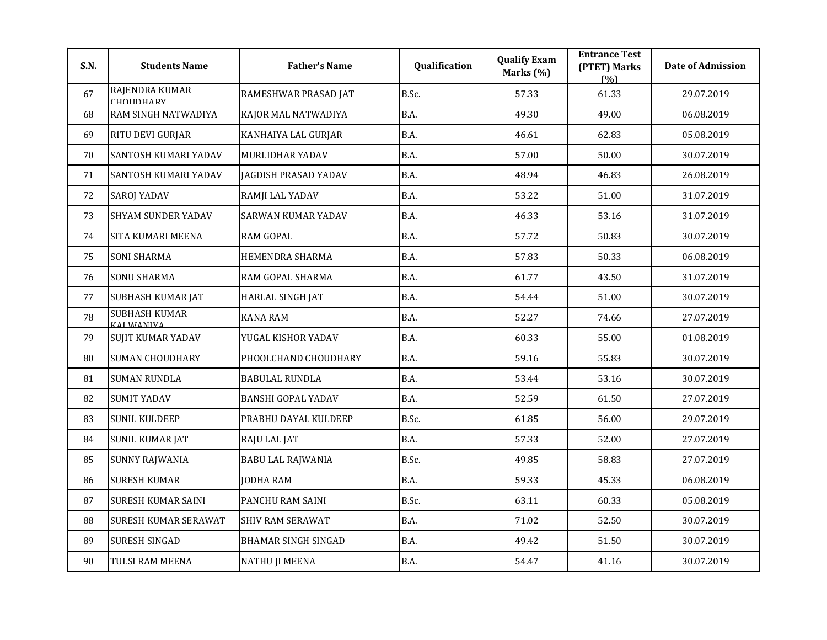| S.N. | <b>Students Name</b>               | <b>Father's Name</b>        | Qualification | <b>Qualify Exam</b><br>Marks (%) | <b>Entrance Test</b><br>(PTET) Marks<br>(%) | <b>Date of Admission</b> |
|------|------------------------------------|-----------------------------|---------------|----------------------------------|---------------------------------------------|--------------------------|
| 67   | RAJENDRA KUMAR<br>CHOIIDHAPV       | RAMESHWAR PRASAD JAT        | B.Sc.         | 57.33                            | 61.33                                       | 29.07.2019               |
| 68   | RAM SINGH NATWADIYA                | KAJOR MAL NATWADIYA         | B.A.          | 49.30                            | 49.00                                       | 06.08.2019               |
| 69   | RITU DEVI GURJAR                   | KANHAIYA LAL GURJAR         | <b>B.A.</b>   | 46.61                            | 62.83                                       | 05.08.2019               |
| 70   | SANTOSH KUMARI YADAV               | MURLIDHAR YADAV             | <b>B.A.</b>   | 57.00                            | 50.00                                       | 30.07.2019               |
| 71   | SANTOSH KUMARI YADAV               | <b>JAGDISH PRASAD YADAV</b> | B.A.          | 48.94                            | 46.83                                       | 26.08.2019               |
| 72   | <b>SAROJ YADAV</b>                 | RAMJI LAL YADAV             | <b>B.A.</b>   | 53.22                            | 51.00                                       | 31.07.2019               |
| 73   | <b>SHYAM SUNDER YADAV</b>          | SARWAN KUMAR YADAV          | <b>B.A.</b>   | 46.33                            | 53.16                                       | 31.07.2019               |
| 74   | SITA KUMARI MEENA                  | <b>RAM GOPAL</b>            | B.A.          | 57.72                            | 50.83                                       | 30.07.2019               |
| 75   | <b>SONI SHARMA</b>                 | HEMENDRA SHARMA             | B.A.          | 57.83                            | 50.33                                       | 06.08.2019               |
| 76   | <b>SONU SHARMA</b>                 | RAM GOPAL SHARMA            | B.A.          | 61.77                            | 43.50                                       | 31.07.2019               |
| 77   | <b>SUBHASH KUMAR JAT</b>           | HARLAL SINGH JAT            | B.A.          | 54.44                            | 51.00                                       | 30.07.2019               |
| 78   | <b>SUBHASH KUMAR</b><br>ΚΔΙ ΜΔΝΙΥΔ | <b>KANA RAM</b>             | B.A.          | 52.27                            | 74.66                                       | 27.07.2019               |
| 79   | <b>SUJIT KUMAR YADAV</b>           | YUGAL KISHOR YADAV          | B.A.          | 60.33                            | 55.00                                       | 01.08.2019               |
| 80   | <b>SUMAN CHOUDHARY</b>             | PHOOLCHAND CHOUDHARY        | B.A.          | 59.16                            | 55.83                                       | 30.07.2019               |
| 81   | <b>SUMAN RUNDLA</b>                | <b>BABULAL RUNDLA</b>       | B.A.          | 53.44                            | 53.16                                       | 30.07.2019               |
| 82   | <b>SUMIT YADAV</b>                 | <b>BANSHI GOPAL YADAV</b>   | B.A.          | 52.59                            | 61.50                                       | 27.07.2019               |
| 83   | <b>SUNIL KULDEEP</b>               | PRABHU DAYAL KULDEEP        | B.Sc.         | 61.85                            | 56.00                                       | 29.07.2019               |
| 84   | <b>SUNIL KUMAR JAT</b>             | RAJU LAL JAT                | B.A.          | 57.33                            | 52.00                                       | 27.07.2019               |
| 85   | <b>SUNNY RAJWANIA</b>              | <b>BABU LAL RAJWANIA</b>    | B.Sc.         | 49.85                            | 58.83                                       | 27.07.2019               |
| 86   | <b>SURESH KUMAR</b>                | <b>JODHA RAM</b>            | B.A.          | 59.33                            | 45.33                                       | 06.08.2019               |
| 87   | SURESH KUMAR SAINI                 | PANCHU RAM SAINI            | B.Sc.         | 63.11                            | 60.33                                       | 05.08.2019               |
| 88   | <b>SURESH KUMAR SERAWAT</b>        | <b>SHIV RAM SERAWAT</b>     | B.A.          | 71.02                            | 52.50                                       | 30.07.2019               |
| 89   | SURESH SINGAD                      | <b>BHAMAR SINGH SINGAD</b>  | B.A.          | 49.42                            | 51.50                                       | 30.07.2019               |
| 90   | TULSI RAM MEENA                    | <b>NATHU JI MEENA</b>       | B.A.          | 54.47                            | 41.16                                       | 30.07.2019               |